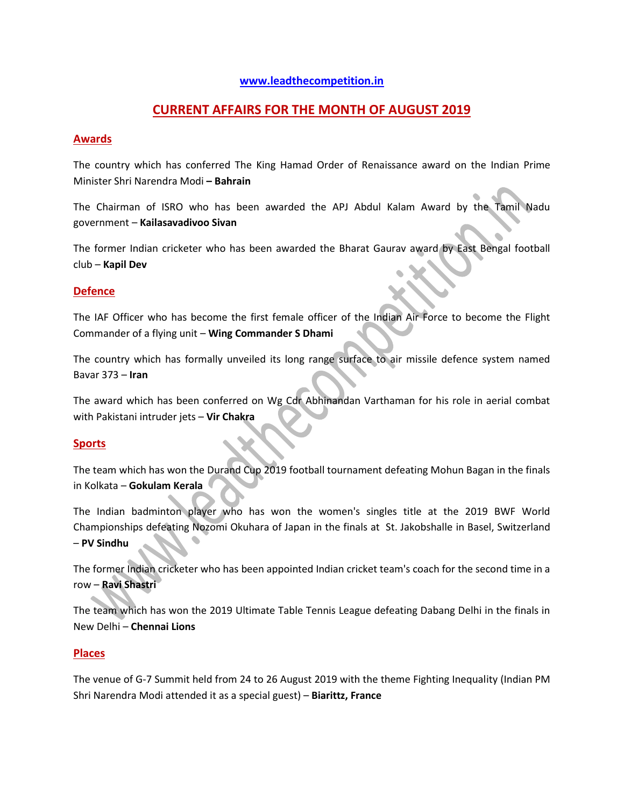#### **[www.leadthecompetition.in](http://www.leadthecompetition.in/)**

# **CURRENT AFFAIRS FOR THE MONTH OF AUGUST 2019**

#### **Awards**

The country which has conferred The King Hamad Order of Renaissance award on the Indian Prime Minister Shri Narendra Modi **– Bahrain** 

The Chairman of ISRO who has been awarded the APJ Abdul Kalam Award by the Tamil Nadu government – **Kailasavadivoo Sivan**

The former Indian cricketer who has been awarded the Bharat Gaurav award by East Bengal football club – **Kapil Dev**

#### **Defence**

The IAF Officer who has become the first female officer of the Indian Air Force to become the Flight Commander of a flying unit – **Wing Commander S Dhami**

The country which has formally unveiled its long range surface to air missile defence system named Bavar 373 – **Iran**

The award which has been conferred on Wg Cdr Abhinandan Varthaman for his role in aerial combat with Pakistani intruder jets – **Vir Chakra**

#### **Sports**

The team which has won the Durand Cup 2019 football tournament defeating Mohun Bagan in the finals in Kolkata – **Gokulam Kerala**

The Indian badminton player who has won the women's singles title at the 2019 BWF World Championships defeating Nozomi Okuhara of Japan in the finals at St. Jakobshalle in Basel, Switzerland – **PV Sindhu**

The former Indian cricketer who has been appointed Indian cricket team's coach for the second time in a row – **Ravi Shastri**

The team which has won the 2019 Ultimate Table Tennis League defeating Dabang Delhi in the finals in New Delhi – **Chennai Lions**

#### **Places**

The venue of G-7 Summit held from 24 to 26 August 2019 with the theme Fighting Inequality (Indian PM Shri Narendra Modi attended it as a special guest) – **Biarittz, France**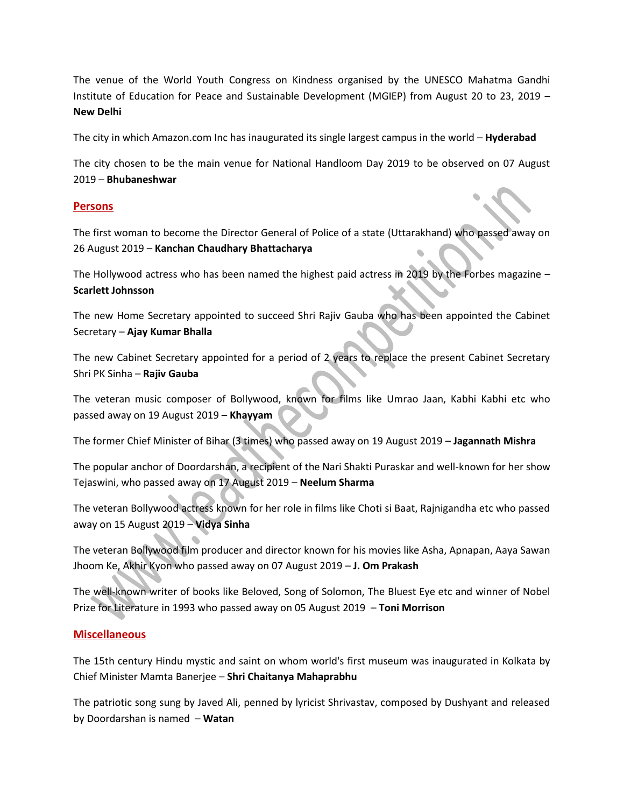The venue of the World Youth Congress on Kindness organised by the UNESCO Mahatma Gandhi Institute of Education for Peace and Sustainable Development (MGIEP) from August 20 to 23, 2019 – **New Delhi** 

The city in which Amazon.com Inc has inaugurated its single largest campus in the world – **Hyderabad**

The city chosen to be the main venue for National Handloom Day 2019 to be observed on 07 August 2019 – **Bhubaneshwar**

#### **Persons**

The first woman to become the Director General of Police of a state (Uttarakhand) who passed away on 26 August 2019 – **Kanchan Chaudhary Bhattacharya** 

The Hollywood actress who has been named the highest paid actress in 2019 by the Forbes magazine – **Scarlett Johnsson**

The new Home Secretary appointed to succeed Shri Rajiv Gauba who has been appointed the Cabinet Secretary – **Ajay Kumar Bhalla** 

The new Cabinet Secretary appointed for a period of 2 years to replace the present Cabinet Secretary Shri PK Sinha – **Rajiv Gauba**

The veteran music composer of Bollywood, known for films like Umrao Jaan, Kabhi Kabhi etc who passed away on 19 August 2019 – **Khayyam**

The former Chief Minister of Bihar (3 times) who passed away on 19 August 2019 – **Jagannath Mishra**

The popular anchor of Doordarshan, a recipient of the Nari Shakti Puraskar and well-known for her show Tejaswini, who passed away on 17 August 2019 – **Neelum Sharma**

The veteran Bollywood actress known for her role in films like Choti si Baat, Rajnigandha etc who passed away on 15 August 2019 – **Vidya Sinha**

The veteran Bollywood film producer and director known for his movies like Asha, Apnapan, Aaya Sawan Jhoom Ke, Akhir Kyon who passed away on 07 August 2019 – **J. Om Prakash**

The well-known writer of books like Beloved, Song of Solomon, The Bluest Eye etc and winner of Nobel Prize for Literature in 1993 who passed away on 05 August 2019 – **Toni Morrison**

#### **Miscellaneous**

The 15th century Hindu mystic and saint on whom world's first museum was inaugurated in Kolkata by Chief Minister Mamta Banerjee – **Shri Chaitanya Mahaprabhu**

The patriotic song sung by Javed Ali, penned by lyricist Shrivastav, composed by Dushyant and released by Doordarshan is named – **Watan**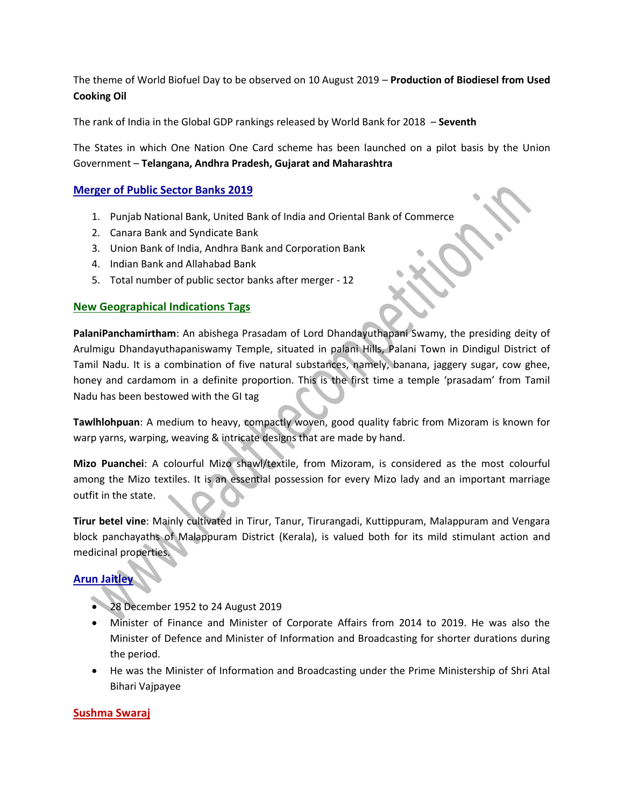The theme of World Biofuel Day to be observed on 10 August 2019 – **Production of Biodiesel from Used Cooking Oil**

The rank of India in the Global GDP rankings released by World Bank for 2018 – **Seventh**

The States in which One Nation One Card scheme has been launched on a pilot basis by the Union Government – **Telangana, Andhra Pradesh, Gujarat and Maharashtra**

#### **Merger of Public Sector Banks 2019**

- 1. Punjab National Bank, United Bank of India and Oriental Bank of Commerce
- 2. Canara Bank and Syndicate Bank
- 3. Union Bank of India, Andhra Bank and Corporation Bank
- 4. Indian Bank and Allahabad Bank
- 5. Total number of public sector banks after merger 12

#### **New Geographical Indications Tags**

**PalaniPanchamirtham**: An abishega Prasadam of Lord Dhandayuthapani Swamy, the presiding deity of Arulmigu Dhandayuthapaniswamy Temple, situated in palani Hills, Palani Town in Dindigul District of Tamil Nadu. It is a combination of five natural substances, namely, banana, jaggery sugar, cow ghee, honey and cardamom in a definite proportion. This is the first time a temple 'prasadam' from Tamil Nadu has been bestowed with the GI tag

**Tawlhlohpuan**: A medium to heavy, compactly woven, good quality fabric from Mizoram is known for warp yarns, warping, weaving & intricate designs that are made by hand.

**Mizo Puanchei**: A colourful Mizo shawl/textile, from Mizoram, is considered as the most colourful among the Mizo textiles. It is an essential possession for every Mizo lady and an important marriage outfit in the state.

**Tirur betel vine**: Mainly cultivated in Tirur, Tanur, Tirurangadi, Kuttippuram, Malappuram and Vengara block panchayaths of Malappuram District (Kerala), is valued both for its mild stimulant action and medicinal properties.

#### **Arun Jaitley**

- 28 December 1952 to 24 August 2019
- Minister of Finance and Minister of Corporate Affairs from 2014 to 2019. He was also the Minister of Defence and Minister of Information and Broadcasting for shorter durations during the period.
- He was the Minister of Information and Broadcasting under the Prime Ministership of Shri Atal Bihari Vajpayee

#### **Sushma Swaraj**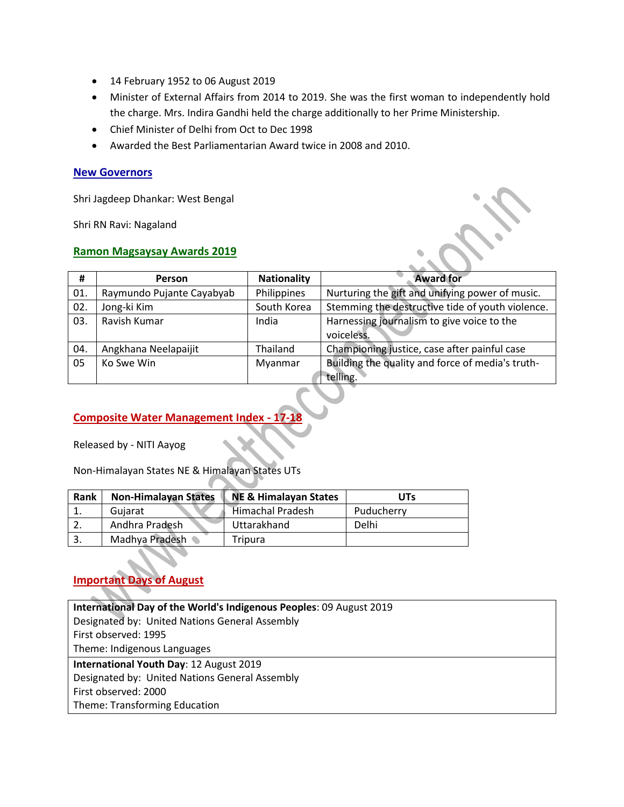- 14 February 1952 to 06 August 2019
- Minister of External Affairs from 2014 to 2019. She was the first woman to independently hold the charge. Mrs. Indira Gandhi held the charge additionally to her Prime Ministership.
- Chief Minister of Delhi from Oct to Dec 1998
- Awarded the Best Parliamentarian Award twice in 2008 and 2010.

#### **New Governors**

Shri Jagdeep Dhankar: West Bengal

Shri RN Ravi: Nagaland

#### **Ramon Magsaysay Awards 2019**

| #   | <b>Person</b>             | <b>Nationality</b> | <b>Award for</b>                                             |
|-----|---------------------------|--------------------|--------------------------------------------------------------|
| 01. | Raymundo Pujante Cayabyab | Philippines        | Nurturing the gift and unifying power of music.              |
| 02. | Jong-ki Kim               | South Korea        | Stemming the destructive tide of youth violence.             |
| 03. | Ravish Kumar              | India              | Harnessing journalism to give voice to the<br>voiceless.     |
| 04. | Angkhana Neelapaijit      | Thailand           | Championing justice, case after painful case                 |
| 05  | Ko Swe Win                | Myanmar            | Building the quality and force of media's truth-<br>telling. |

## **Composite Water Management Index - 17-18**

Released by - NITI Aayog

Non-Himalayan States NE & Himalayan States UTs

| Rank | <b>Non-Himalayan States</b> | <b>NE &amp; Himalayan States</b> | <b>UTs</b> |
|------|-----------------------------|----------------------------------|------------|
|      | Guiarat                     | <b>Himachal Pradesh</b>          | Puducherry |
|      | Andhra Pradesh              | Uttarakhand                      | Delhi      |
|      | Madhya Pradesh              | Tripura                          |            |

# **Important Days of August**

| International Day of the World's Indigenous Peoples: 09 August 2019 |
|---------------------------------------------------------------------|
| Designated by: United Nations General Assembly                      |
| First observed: 1995                                                |
| Theme: Indigenous Languages                                         |
| International Youth Day: 12 August 2019                             |
| Designated by: United Nations General Assembly                      |
| First observed: 2000                                                |
| Theme: Transforming Education                                       |
|                                                                     |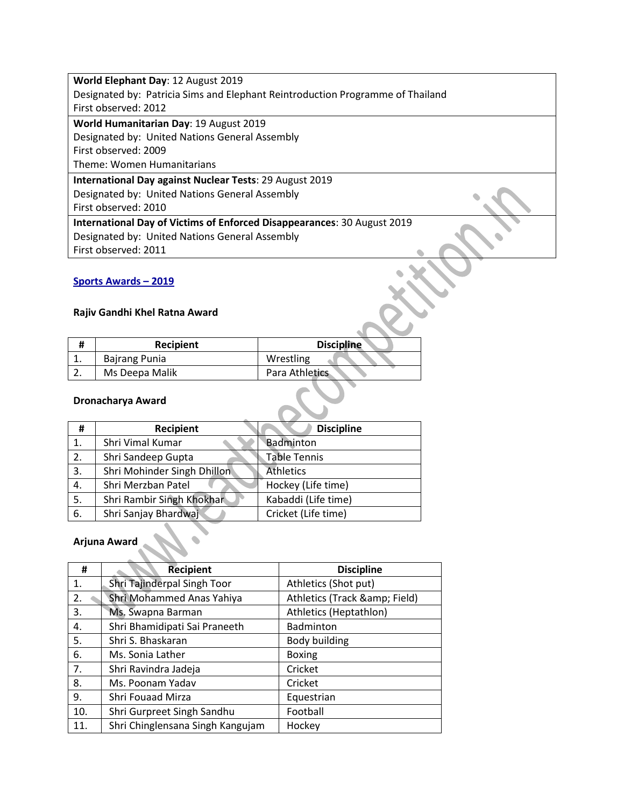| World Elephant Day: 12 August 2019                                             |  |
|--------------------------------------------------------------------------------|--|
| Designated by: Patricia Sims and Elephant Reintroduction Programme of Thailand |  |
| First observed: 2012                                                           |  |
| World Humanitarian Day: 19 August 2019                                         |  |
| Designated by: United Nations General Assembly                                 |  |
| First observed: 2009                                                           |  |
| Theme: Women Humanitarians                                                     |  |
| International Day against Nuclear Tests: 29 August 2019                        |  |
| Designated by: United Nations General Assembly                                 |  |
| First observed: 2010                                                           |  |
| International Day of Victims of Enforced Disappearances: 30 August 2019        |  |
| Designated by: United Nations General Assembly                                 |  |
| First observed: 2011                                                           |  |

# **Sports Awards – 2019**

# **Rajiv Gandhi Khel Ratna Award**

| <b>Recipient</b>     | <b>Discipline</b> |
|----------------------|-------------------|
| <b>Bajrang Punia</b> | Wrestling         |
| Ms Deepa Malik       | Para Athletics    |

# **Dronacharya Award**

| #  | <b>Recipient</b>            | <b>Discipline</b>   |
|----|-----------------------------|---------------------|
| 1. | Shri Vimal Kumar            | Badminton           |
| 2. | Shri Sandeep Gupta          | <b>Table Tennis</b> |
| 3. | Shri Mohinder Singh Dhillon | <b>Athletics</b>    |
| 4. | Shri Merzban Patel          | Hockey (Life time)  |
| 5. | Shri Rambir Singh Khokhar   | Kabaddi (Life time) |
| 6. | Shri Sanjay Bhardwaj        | Cricket (Life time) |

# **Arjuna Award**

| #   | <b>Recipient</b>                 | <b>Discipline</b>         |
|-----|----------------------------------|---------------------------|
| 1.  | Shri Tajinderpal Singh Toor      | Athletics (Shot put)      |
| 2.  | Shri Mohammed Anas Yahiya        | Athletics (Track & Field) |
| 3.  | Ms. Swapna Barman                | Athletics (Heptathlon)    |
| 4.  | Shri Bhamidipati Sai Praneeth    | Badminton                 |
| 5.  | Shri S. Bhaskaran                | Body building             |
| 6.  | Ms. Sonia Lather                 | <b>Boxing</b>             |
| 7.  | Shri Ravindra Jadeja             | Cricket                   |
| 8.  | Ms. Poonam Yadav                 | Cricket                   |
| 9.  | Shri Fouaad Mirza                | Equestrian                |
| 10. | Shri Gurpreet Singh Sandhu       | Football                  |
| 11. | Shri Chinglensana Singh Kangujam | Hockey                    |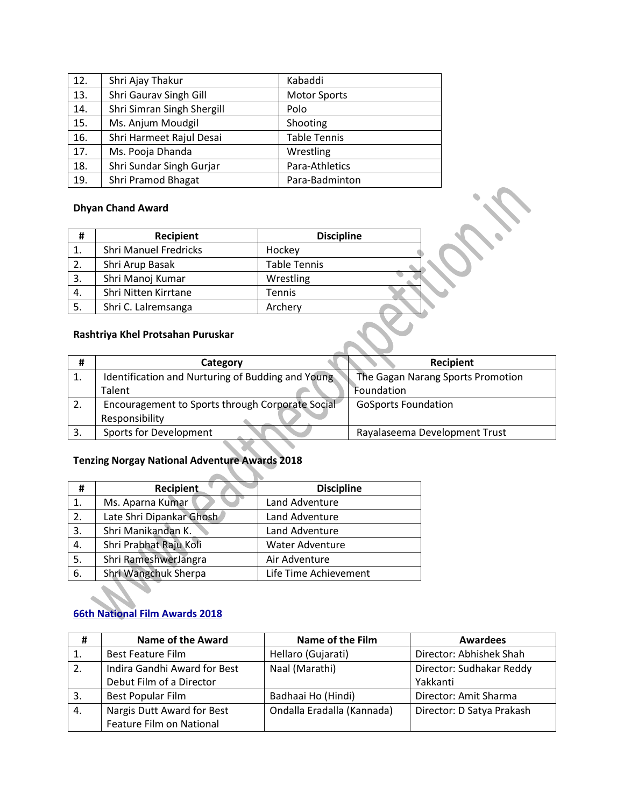| 12. | Shri Ajay Thakur           | Kabaddi             |
|-----|----------------------------|---------------------|
| 13. | Shri Gaurav Singh Gill     | <b>Motor Sports</b> |
| 14. | Shri Simran Singh Shergill | Polo                |
| 15. | Ms. Anjum Moudgil          | Shooting            |
| 16. | Shri Harmeet Rajul Desai   | <b>Table Tennis</b> |
| 17. | Ms. Pooja Dhanda           | Wrestling           |
| 18. | Shri Sundar Singh Gurjar   | Para-Athletics      |
| 19. | Shri Pramod Bhagat         | Para-Badminton      |

#### **Dhyan Chand Award**

| #  | Recipient                         | <b>Discipline</b>   |  |
|----|-----------------------------------|---------------------|--|
| 1. | <b>Shri Manuel Fredricks</b>      | Hockey              |  |
| 2. | Shri Arup Basak                   | <b>Table Tennis</b> |  |
| 3. | Shri Manoj Kumar                  | Wrestling           |  |
| 4. | Shri Nitten Kirrtane              | Tennis              |  |
| 5. | Shri C. Lalremsanga               | Archery             |  |
|    | Rashtriya Khel Protsahan Puruskar |                     |  |

## **Rashtriya Khel Protsahan Puruskar**

| #  | Category                                                           | Recipient                         |
|----|--------------------------------------------------------------------|-----------------------------------|
| ᆠ. | Identification and Nurturing of Budding and Young                  | The Gagan Narang Sports Promotion |
|    | Talent                                                             | Foundation                        |
| 2. | Encouragement to Sports through Corporate Social<br>Responsibility | <b>GoSports Foundation</b>        |
|    | Sports for Development                                             | Rayalaseema Development Trust     |

## **Tenzing Norgay National Adventure Awards 2018**

| #  | <b>Recipient</b>         | <b>Discipline</b>     |
|----|--------------------------|-----------------------|
| 1. | Ms. Aparna Kumar         | Land Adventure        |
| 2. | Late Shri Dipankar Ghosh | Land Adventure        |
| 3. | Shri Manikandan K.       | Land Adventure        |
| 4. | Shri Prabhat Raju Koli   | Water Adventure       |
| 5. | Shri RameshwerJangra     | Air Adventure         |
| 6. | Shri Wangchuk Sherpa     | Life Time Achievement |

╲  $\sim$ 

V.

# **66th National Film Awards 2018**

| #   | <b>Name of the Award</b>     | <b>Name of the Film</b>    | <b>Awardees</b>           |
|-----|------------------------------|----------------------------|---------------------------|
| -1. | <b>Best Feature Film</b>     | Hellaro (Gujarati)         | Director: Abhishek Shah   |
| 2.  | Indira Gandhi Award for Best | Naal (Marathi)             | Director: Sudhakar Reddy  |
|     | Debut Film of a Director     |                            | Yakkanti                  |
| -3. | Best Popular Film            | Badhaai Ho (Hindi)         | Director: Amit Sharma     |
| 4.  | Nargis Dutt Award for Best   | Ondalla Eradalla (Kannada) | Director: D Satya Prakash |
|     | Feature Film on National     |                            |                           |